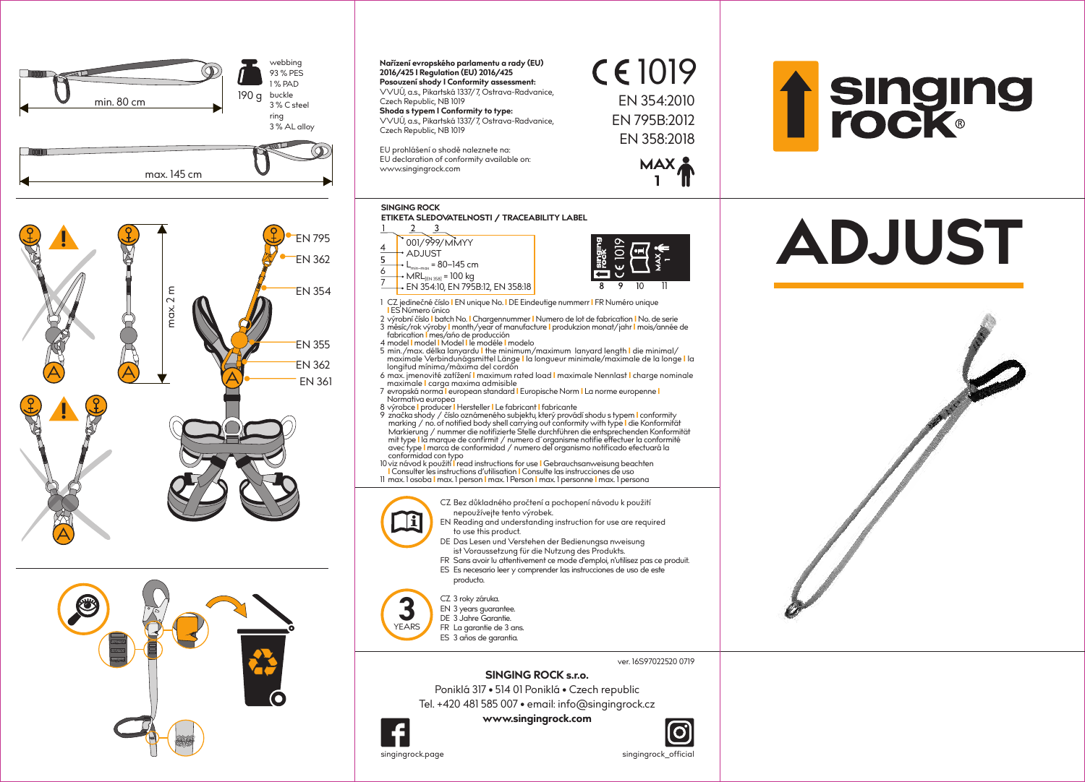



- ist Voraussetzung für die Nutzung des Produkts. FR Sans avoir lu attentivement ce mode d'emploi, n'utilisez pas ce produit. ES Es necesario leer y comprender las instrucciones de uso de este
- producto.

## CZ 3 roky záruka. EN 3 years guarantee.

- DE 3 Jahre Garantie.
- **3**YEARS FR La garantie de 3 ans.
	- ES 3 años de garantia.

## **SINGING ROCK s.r.o.**

Poniklá 317 • 514 01 Poniklá • Czech republic Tel. +420 481 585 007 • email: info@singingrock.cz

**www.singingrock.com**



7





ver. 16S97022520 0719

singingrock.page singingrock\_official